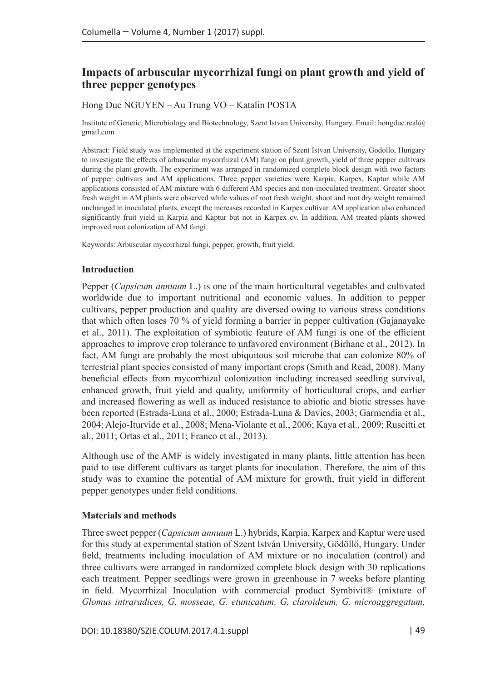# **Impacts of arbuscular mycorrhizal fungi on plant growth and yield of three pepper genotypes**

## Hong Duc NGUYEN – Au Trung VO – Katalin POSTA

Institute of Genetic, Microbiology and Biotechnology, Szent Istvan University, Hungary. Email: [hongduc.real@](mailto:hongduc.real@gmail.com) [gmail.com](mailto:hongduc.real@gmail.com)

Abstract: Field study was implemented at the experiment station of Szent Istvan University, Godollo, Hungary to investigate the effects of arbuscular mycorrhizal (AM) fungi on plant growth, yield of three pepper cultivars during the plant growth. The experiment was arranged in randomized complete block design with two factors of pepper cultivars and AM applications. Three pepper varieties were Karpia, Karpex, Kaptur while AM applications consisted of AM mixture with 6 different AM species and non-inoculated treatment. Greater shoot fresh weight in AM plants were observed while values of root fresh weight, shoot and root dry weight remained unchanged in inoculated plants, except the increases recorded in Karpex cultivar. AM application also enhanced significantly fruit yield in Karpia and Kaptur but not in Karpex cv. In addition, AM treated plants showed improved root colonization of AM fungi.

Keywords: Arbuscular mycorrhizal fungi, pepper, growth, fruit yield.

## **Introduction**

Pepper (*Capsicum annuum* L.) is one of the main horticultural vegetables and cultivated worldwide due to important nutritional and economic values. In addition to pepper cultivars, pepper production and quality are diversed owing to various stress conditions that which often loses 70 % of yield forming a barrier in pepper cultivation (Gajanayake et al., 2011). The exploitation of symbiotic feature of AM fungi is one of the efficient approaches to improve crop tolerance to unfavored environment (Birhane et al., 2012). In fact, AM fungi are probably the most ubiquitous soil microbe that can colonize 80% of terrestrial plant species consisted of many important crops (Smith and Read, 2008). Many beneficial effects from mycorrhizal colonization including increased seedling survival, enhanced growth, fruit yield and quality, uniformity of horticultural crops, and earlier and increased flowering as well as induced resistance to abiotic and biotic stresses have been reported (Estrada-Luna et al., 2000; Estrada-Luna & Davies, 2003; Garmendia et al., 2004; Alejo-Iturvide et al., 2008; Mena-Violante et al., 2006; Kaya et al., 2009; Ruscitti et al., 2011; Ortas et al., 2011; Franco et al., 2013).

Although use of the AMF is widely investigated in many plants, little attention has been paid to use different cultivars as target plants for inoculation. Therefore, the aim of this study was to examine the potential of AM mixture for growth, fruit yield in different pepper genotypes under field conditions.

## **Materials and methods**

Three sweet pepper (*Capsicum annuum* L.) hybrids, Karpia, Karpex and Kaptur were used for this study at experimental station of Szent István University, Gödöllő, Hungary. Under field, treatments including inoculation of AM mixture or no inoculation (control) and three cultivars were arranged in randomized complete block design with 30 replications each treatment. Pepper seedlings were grown in greenhouse in 7 weeks before planting in field. Mycorrhizal Inoculation with commercial product Symbivit® (mixture of *Glomus intraradices, G. mosseae, G. etunicatum, G. claroideum, G. microaggregatum,*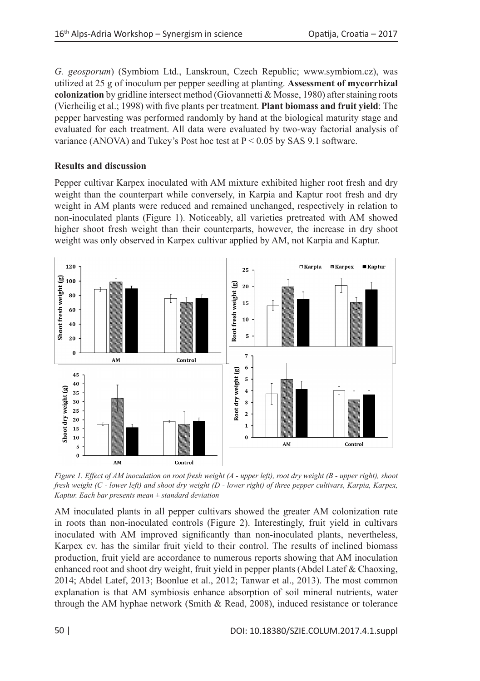*G. geosporum*) (Symbiom Ltd., Lanskroun, Czech Republic; www.symbiom.cz), was utilized at 25 g of inoculum per pepper seedling at planting. **Assessment of mycorrhizal colonization** by gridline intersect method (Giovannetti & Mosse, 1980) after staining roots (Vierheilig et al.; 1998) with five plants per treatment. **Plant biomass and fruit yield**: The pepper harvesting was performed randomly by hand at the biological maturity stage and evaluated for each treatment. All data were evaluated by two-way factorial analysis of variance (ANOVA) and Tukey's Post hoc test at  $P < 0.05$  by SAS 9.1 software.

## **Results and discussion**

Pepper cultivar Karpex inoculated with AM mixture exhibited higher root fresh and dry weight than the counterpart while conversely, in Karpia and Kaptur root fresh and dry weight in AM plants were reduced and remained unchanged, respectively in relation to non-inoculated plants (Figure 1). Noticeably, all varieties pretreated with AM showed higher shoot fresh weight than their counterparts, however, the increase in dry shoot weight was only observed in Karpex cultivar applied by AM, not Karpia and Kaptur.



*Figure 1. Effect of AM inoculation on root fresh weight (A - upper left), root dry weight (B - upper right), shoot fresh weight (C - lower left) and shoot dry weight (D - lower right) of three pepper cultivars, Karpia, Karpex, Kaptur. Each bar presents mean ± standard deviation*

AM inoculated plants in all pepper cultivars showed the greater AM colonization rate in roots than non-inoculated controls (Figure 2). Interestingly, fruit yield in cultivars inoculated with AM improved significantly than non-inoculated plants, nevertheless, Karpex cv. has the similar fruit yield to their control. The results of inclined biomass production, fruit yield are accordance to numerous reports showing that AM inoculation enhanced root and shoot dry weight, fruit yield in pepper plants (Abdel Latef & Chaoxing, 2014; Abdel Latef, 2013; Boonlue et al., 2012; Tanwar et al., 2013). The most common explanation is that AM symbiosis enhance absorption of soil mineral nutrients, water through the AM hyphae network (Smith & Read, 2008), induced resistance or tolerance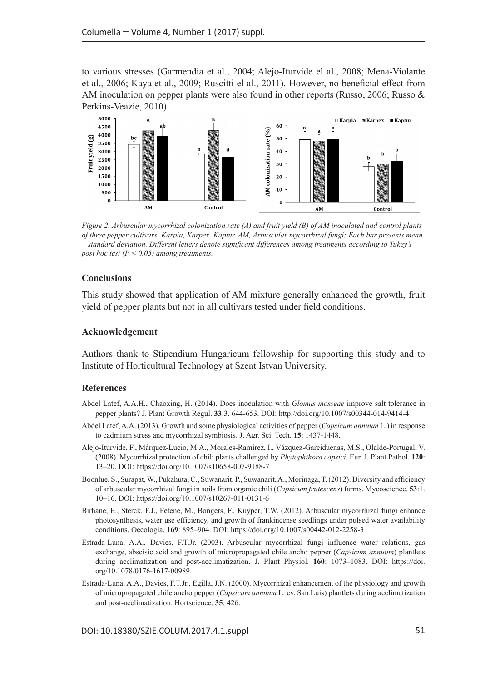to various stresses (Garmendia et al., 2004; Alejo-Iturvide el al., 2008; Mena-Violante et al., 2006; Kaya et al., 2009; Ruscitti el al., 2011). However, no beneficial effect from AM inoculation on pepper plants were also found in other reports (Russo, 2006; Russo & Perkins-Veazie, 2010).



*Figure 2. Arbuscular mycorrhizal colonization rate (A) and fruit yield (B) of AM inoculated and control plants of three pepper cultivars, Karpia, Karpex, Kaptur. AM, Arbuscular mycorrhizal fungi; Each bar presents mean ± standard deviation. Different letters denote significant differences among treatments according to Tukey's post hoc test (P < 0.05) among treatments.* 

## **Conclusions**

This study showed that application of AM mixture generally enhanced the growth, fruit yield of pepper plants but not in all cultivars tested under field conditions.

#### **Acknowledgement**

Authors thank to Stipendium Hungaricum fellowship for supporting this study and to Institute of Horticultural Technology at Szent Istvan University.

## **References**

- Abdel Latef, A.A.H., Chaoxing, H. (2014). Does inoculation with *Glomus mosseae* improve salt tolerance in pepper plants? J. Plant Growth Regul. **33**:3. 644-653. DOI:<http://doi.org/10.1007/s00344-014-9414-4>
- Abdel Latef, A.A. (2013). Growth and some physiological activities of pepper (*Capsicum annuum* L.) in response to cadmium stress and mycorrhizal symbiosis. J. Agr. Sci. Tech. **15**: 1437-1448.
- Alejo-Iturvide, F., Márquez-Lucio, M.A., Morales-Ramírez, I., Vázquez-Garciduenas, M.S., Olalde-Portugal, V. (2008). Mycorrhizal protection of chili plants challenged by *Phytophthora capsici*. Eur. J. Plant Pathol. **120**: 13–20. DOI: <https://doi.org/10.1007/s10658-007-9188-7>
- Boonlue, S., Surapat, W., Pukahuta, C., Suwanarit, P., Suwanarit, A., Morinaga, T. (2012). Diversity and efficiency of arbuscular mycorrhizal fungi in soils from organic chili (*Capsicum frutescens*) farms. Mycoscience. **53**:1. 10–16. DOI: <https://doi.org/10.1007/s10267-011-0131-6>
- Birhane, E., Sterck, F.J., Fetene, M., Bongers, F., Kuyper, T.W. (2012). Arbuscular mycorrhizal fungi enhance photosynthesis, water use efficiency, and growth of frankincense seedlings under pulsed water availability conditions. Oecologia. **169**: 895–904. DOI:<https://doi.org/10.1007/s00442-012-2258-3>
- Estrada-Luna, A.A., Davies, F.T.Jr. (2003). Arbuscular mycorrhizal fungi influence water relations, gas exchange, abscisic acid and growth of micropropagated chile ancho pepper (*Capsicum annuum*) plantlets during acclimatization and post-acclimatization. J. Plant Physiol. **160**: 1073–1083. DOI: [https://doi.](https://doi.org/10.1078/0176-1617-00989) [org/10.1078/0176-1617-00989](https://doi.org/10.1078/0176-1617-00989)
- Estrada-Luna, A.A., Davies, F.T.Jr., Egilla, J.N. (2000). Mycorrhizal enhancement of the physiology and growth of micropropagated chile ancho pepper (*Capsicum annuum* L. cv. San Luis) plantlets during acclimatization and post-acclimatization. Hortscience. **35**: 426.